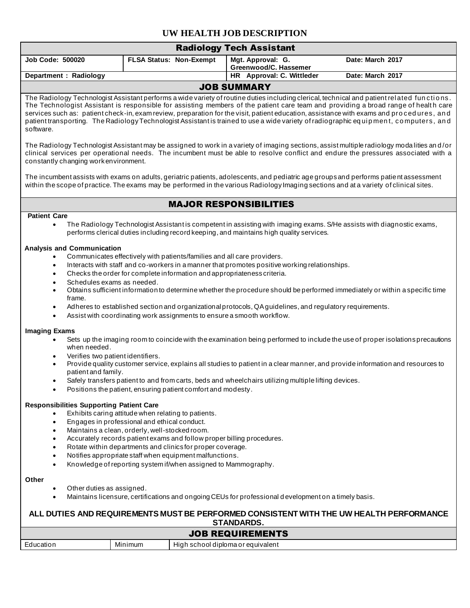## **UW HEALTH JOB DESCRIPTION**

| <b>Radiology Tech Assistant</b>                                                                                                                                                                                                                                                                                                                                                                                                                                                                                                                                                                              |                                                                                                                                                                                                                                                                                                                                                  |  |                                                                                                                                                                                                                                                                                                                                                                                                                                       |                                                                                                                                                                                                                                                                                                                                                                                                                                                                                                           |  |  |
|--------------------------------------------------------------------------------------------------------------------------------------------------------------------------------------------------------------------------------------------------------------------------------------------------------------------------------------------------------------------------------------------------------------------------------------------------------------------------------------------------------------------------------------------------------------------------------------------------------------|--------------------------------------------------------------------------------------------------------------------------------------------------------------------------------------------------------------------------------------------------------------------------------------------------------------------------------------------------|--|---------------------------------------------------------------------------------------------------------------------------------------------------------------------------------------------------------------------------------------------------------------------------------------------------------------------------------------------------------------------------------------------------------------------------------------|-----------------------------------------------------------------------------------------------------------------------------------------------------------------------------------------------------------------------------------------------------------------------------------------------------------------------------------------------------------------------------------------------------------------------------------------------------------------------------------------------------------|--|--|
| <b>Job Code: 500020</b>                                                                                                                                                                                                                                                                                                                                                                                                                                                                                                                                                                                      | <b>FLSA Status: Non-Exempt</b>                                                                                                                                                                                                                                                                                                                   |  | Mgt. Approval: G.<br>Greenwood/C. Hassemer                                                                                                                                                                                                                                                                                                                                                                                            | Date: March 2017                                                                                                                                                                                                                                                                                                                                                                                                                                                                                          |  |  |
| Department : Radiology                                                                                                                                                                                                                                                                                                                                                                                                                                                                                                                                                                                       |                                                                                                                                                                                                                                                                                                                                                  |  | HR Approval: C. Wittleder                                                                                                                                                                                                                                                                                                                                                                                                             | Date: March 2017                                                                                                                                                                                                                                                                                                                                                                                                                                                                                          |  |  |
| <b>JOB SUMMARY</b><br>The Radiology Technologist Assistant performs a wide variety of routine duties including clerical, technical and patient related functions.<br>The Technologist Assistant is responsible for assisting members of the patient care team and providing a broad range of health care<br>services such as: patient check-in, exam review, preparation for the visit, patient education, assistance with exams and procedures, and<br>patient transporting. The Radiology Technologist Assistant is trained to use a wide variety of radiographic equipment, computers, and<br>software.   |                                                                                                                                                                                                                                                                                                                                                  |  |                                                                                                                                                                                                                                                                                                                                                                                                                                       |                                                                                                                                                                                                                                                                                                                                                                                                                                                                                                           |  |  |
| The Radiology Technologist Assistant may be assigned to work in a variety of imaging sections, assist multiple radiology modalities and/or<br>clinical services per operational needs. The incumbent must be able to resolve conflict and endure the pressures associated with a<br>constantly changing work environment.<br>The incumbent assists with exams on adults, geriatric patients, adolescents, and pediatric age groups and performs patient assessment<br>within the scope of practice. The exams may be performed in the various Radiology Imaging sections and at a variety of clinical sites. |                                                                                                                                                                                                                                                                                                                                                  |  |                                                                                                                                                                                                                                                                                                                                                                                                                                       |                                                                                                                                                                                                                                                                                                                                                                                                                                                                                                           |  |  |
|                                                                                                                                                                                                                                                                                                                                                                                                                                                                                                                                                                                                              |                                                                                                                                                                                                                                                                                                                                                  |  | <b>MAJOR RESPONSIBILITIES</b>                                                                                                                                                                                                                                                                                                                                                                                                         |                                                                                                                                                                                                                                                                                                                                                                                                                                                                                                           |  |  |
| <b>Patient Care</b>                                                                                                                                                                                                                                                                                                                                                                                                                                                                                                                                                                                          |                                                                                                                                                                                                                                                                                                                                                  |  |                                                                                                                                                                                                                                                                                                                                                                                                                                       |                                                                                                                                                                                                                                                                                                                                                                                                                                                                                                           |  |  |
| $\bullet$                                                                                                                                                                                                                                                                                                                                                                                                                                                                                                                                                                                                    |                                                                                                                                                                                                                                                                                                                                                  |  | performs clerical duties including record keeping, and maintains high quality services.                                                                                                                                                                                                                                                                                                                                               | The Radiology Technologist Assistant is competent in assisting with imaging exams. S/He assists with diagnostic exams,                                                                                                                                                                                                                                                                                                                                                                                    |  |  |
| <b>Analysis and Communication</b><br>٠<br>$\bullet$<br>$\bullet$<br>Schedules exams as needed.<br>$\bullet$<br>$\bullet$<br>frame.<br>$\bullet$<br>$\bullet$<br><b>Imaging Exams</b><br>when needed.<br>Verifies two patient identifiers.<br>$\bullet$<br>$\bullet$<br>patient and family.                                                                                                                                                                                                                                                                                                                   | Positions the patient, ensuring patient comfort and modesty.                                                                                                                                                                                                                                                                                     |  | Communicates effectively with patients/families and all care providers.<br>Interacts with staff and co-workers in a manner that promotes positive working relationships.<br>Checks the order for complete information and appropriateness criteria.<br>Assist with coordinating work assignments to ensure a smooth workflow.<br>Safely transfers patient to and from carts, beds and wheelchairs utilizing multiple lifting devices. | Obtains sufficient information to determine whether the procedure should be performed immediately or within a specific time<br>Adheres to established section and organizational protocols, QA guidelines, and regulatory requirements.<br>Sets up the imaging room to coincide with the examination being performed to include the use of proper isolations precautions<br>Provide quality customer service, explains all studies to patient in a clear manner, and provide information and resources to |  |  |
| <b>Responsibilities Supporting Patient Care</b><br>$\bullet$<br>$\bullet$<br>$\bullet$<br>$\bullet$<br>$\bullet$<br>$\bullet$                                                                                                                                                                                                                                                                                                                                                                                                                                                                                | Exhibits caring attitude when relating to patients.<br>Engages in professional and ethical conduct.<br>Maintains a clean, orderly, well-stocked room.<br>Rotate within departments and clinics for proper coverage.<br>Notifies appropriate staff when equipment malfunctions.<br>Knowledge of reporting system if/when assigned to Mammography. |  | Accurately records patient exams and follow proper billing procedures.                                                                                                                                                                                                                                                                                                                                                                |                                                                                                                                                                                                                                                                                                                                                                                                                                                                                                           |  |  |
| Other<br>Other duties as assigned.                                                                                                                                                                                                                                                                                                                                                                                                                                                                                                                                                                           |                                                                                                                                                                                                                                                                                                                                                  |  |                                                                                                                                                                                                                                                                                                                                                                                                                                       |                                                                                                                                                                                                                                                                                                                                                                                                                                                                                                           |  |  |
| Maintains licensure, certifications and ongoing CEUs for professional development on a timely basis.<br>ALL DUTIES AND REQUIREMENTS MUST BE PERFORMED CONSISTENT WITH THE UW HEALTH PERFORMANCE                                                                                                                                                                                                                                                                                                                                                                                                              |                                                                                                                                                                                                                                                                                                                                                  |  |                                                                                                                                                                                                                                                                                                                                                                                                                                       |                                                                                                                                                                                                                                                                                                                                                                                                                                                                                                           |  |  |
| <b>STANDARDS.</b><br><b>JOB REQUIREMENTS</b>                                                                                                                                                                                                                                                                                                                                                                                                                                                                                                                                                                 |                                                                                                                                                                                                                                                                                                                                                  |  |                                                                                                                                                                                                                                                                                                                                                                                                                                       |                                                                                                                                                                                                                                                                                                                                                                                                                                                                                                           |  |  |
| Education<br>Minimum<br>High school diploma or equivalent                                                                                                                                                                                                                                                                                                                                                                                                                                                                                                                                                    |                                                                                                                                                                                                                                                                                                                                                  |  |                                                                                                                                                                                                                                                                                                                                                                                                                                       |                                                                                                                                                                                                                                                                                                                                                                                                                                                                                                           |  |  |
|                                                                                                                                                                                                                                                                                                                                                                                                                                                                                                                                                                                                              |                                                                                                                                                                                                                                                                                                                                                  |  |                                                                                                                                                                                                                                                                                                                                                                                                                                       |                                                                                                                                                                                                                                                                                                                                                                                                                                                                                                           |  |  |
|                                                                                                                                                                                                                                                                                                                                                                                                                                                                                                                                                                                                              |                                                                                                                                                                                                                                                                                                                                                  |  |                                                                                                                                                                                                                                                                                                                                                                                                                                       |                                                                                                                                                                                                                                                                                                                                                                                                                                                                                                           |  |  |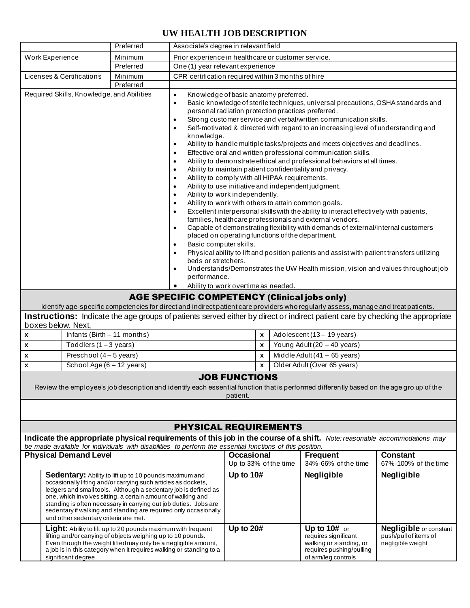## **UW HEALTH JOB DESCRIPTION**

|                                                                                                                                                                                                                                                                                                                                                                                                                                              |                             | Preferred                                                                                                                                                                                                                                                                                                                                                                                                                                                                                                                                                                                                                                                                                                                                                                                                                                                                                                                                                                                                                                                                                                                                                                                                                                                                                                                                                                                                                                                                                                                                                                                                  | Associate's degree in relevant field                |                                                  |   |                                                                                                                    |                                                                                                                                    |                                                                                                                                |  |  |
|----------------------------------------------------------------------------------------------------------------------------------------------------------------------------------------------------------------------------------------------------------------------------------------------------------------------------------------------------------------------------------------------------------------------------------------------|-----------------------------|------------------------------------------------------------------------------------------------------------------------------------------------------------------------------------------------------------------------------------------------------------------------------------------------------------------------------------------------------------------------------------------------------------------------------------------------------------------------------------------------------------------------------------------------------------------------------------------------------------------------------------------------------------------------------------------------------------------------------------------------------------------------------------------------------------------------------------------------------------------------------------------------------------------------------------------------------------------------------------------------------------------------------------------------------------------------------------------------------------------------------------------------------------------------------------------------------------------------------------------------------------------------------------------------------------------------------------------------------------------------------------------------------------------------------------------------------------------------------------------------------------------------------------------------------------------------------------------------------------|-----------------------------------------------------|--------------------------------------------------|---|--------------------------------------------------------------------------------------------------------------------|------------------------------------------------------------------------------------------------------------------------------------|--------------------------------------------------------------------------------------------------------------------------------|--|--|
| Work Experience                                                                                                                                                                                                                                                                                                                                                                                                                              |                             | Minimum                                                                                                                                                                                                                                                                                                                                                                                                                                                                                                                                                                                                                                                                                                                                                                                                                                                                                                                                                                                                                                                                                                                                                                                                                                                                                                                                                                                                                                                                                                                                                                                                    | Prior experience in healthcare or customer service. |                                                  |   |                                                                                                                    |                                                                                                                                    |                                                                                                                                |  |  |
| Preferred                                                                                                                                                                                                                                                                                                                                                                                                                                    |                             | One (1) year relevant experience                                                                                                                                                                                                                                                                                                                                                                                                                                                                                                                                                                                                                                                                                                                                                                                                                                                                                                                                                                                                                                                                                                                                                                                                                                                                                                                                                                                                                                                                                                                                                                           |                                                     |                                                  |   |                                                                                                                    |                                                                                                                                    |                                                                                                                                |  |  |
| Licenses & Certifications                                                                                                                                                                                                                                                                                                                                                                                                                    |                             | CPR certification required within 3 months of hire<br>Minimum                                                                                                                                                                                                                                                                                                                                                                                                                                                                                                                                                                                                                                                                                                                                                                                                                                                                                                                                                                                                                                                                                                                                                                                                                                                                                                                                                                                                                                                                                                                                              |                                                     |                                                  |   |                                                                                                                    |                                                                                                                                    |                                                                                                                                |  |  |
|                                                                                                                                                                                                                                                                                                                                                                                                                                              |                             | Preferred                                                                                                                                                                                                                                                                                                                                                                                                                                                                                                                                                                                                                                                                                                                                                                                                                                                                                                                                                                                                                                                                                                                                                                                                                                                                                                                                                                                                                                                                                                                                                                                                  |                                                     |                                                  |   |                                                                                                                    |                                                                                                                                    |                                                                                                                                |  |  |
| Required Skills, Knowledge, and Abilities                                                                                                                                                                                                                                                                                                                                                                                                    |                             | Knowledge of basic anatomy preferred.<br>$\bullet$<br>Basic knowledge of sterile techniques, universal precautions, OSHA standards and<br>$\bullet$<br>personal radiation protection practices preferred.<br>Strong customer service and verbal/written communication skills.<br>٠<br>Self-motivated & directed with regard to an increasing level of understanding and<br>$\bullet$<br>knowledge.<br>Ability to handle multiple tasks/projects and meets objectives and deadlines.<br>$\bullet$<br>Effective oral and written professional communication skills.<br>$\bullet$<br>Ability to demonstrate ethical and professional behaviors at all times.<br>$\bullet$<br>Ability to maintain patient confidentiality and privacy.<br>Ability to comply with all HIPAA requirements.<br>$\bullet$<br>Ability to use initiative and independent judgment.<br>$\bullet$<br>Ability to work independently.<br>$\bullet$<br>Ability to work with others to attain common goals.<br>$\bullet$<br>Excellent interpersonal skills with the ability to interact effectively with patients,<br>$\bullet$<br>families, healthcare professionals and external vendors.<br>Capable of demonstrating flexibility with demands of external/internal customers<br>$\bullet$<br>placed on operating functions of the department.<br>Basic computer skills.<br>$\bullet$<br>Physical ability to lift and position patients and assist with patient transfers utilizing<br>$\bullet$<br>beds or stretchers.<br>Understands/Demonstrates the UW Health mission, vision and values throughout job<br>$\bullet$<br>performance. |                                                     |                                                  |   |                                                                                                                    |                                                                                                                                    |                                                                                                                                |  |  |
|                                                                                                                                                                                                                                                                                                                                                                                                                                              |                             |                                                                                                                                                                                                                                                                                                                                                                                                                                                                                                                                                                                                                                                                                                                                                                                                                                                                                                                                                                                                                                                                                                                                                                                                                                                                                                                                                                                                                                                                                                                                                                                                            | Ability to work overtime as needed.<br>٠            |                                                  |   |                                                                                                                    |                                                                                                                                    |                                                                                                                                |  |  |
|                                                                                                                                                                                                                                                                                                                                                                                                                                              |                             |                                                                                                                                                                                                                                                                                                                                                                                                                                                                                                                                                                                                                                                                                                                                                                                                                                                                                                                                                                                                                                                                                                                                                                                                                                                                                                                                                                                                                                                                                                                                                                                                            | <b>AGE SPECIFIC COMPETENCY (Clinical jobs only)</b> |                                                  |   |                                                                                                                    | Identify age-specific competencies for direct and indirect patient care providers who regularly assess, manage and treat patients. |                                                                                                                                |  |  |
|                                                                                                                                                                                                                                                                                                                                                                                                                                              |                             |                                                                                                                                                                                                                                                                                                                                                                                                                                                                                                                                                                                                                                                                                                                                                                                                                                                                                                                                                                                                                                                                                                                                                                                                                                                                                                                                                                                                                                                                                                                                                                                                            |                                                     |                                                  |   |                                                                                                                    |                                                                                                                                    | Instructions: Indicate the age groups of patients served either by direct or indirect patient care by checking the appropriate |  |  |
| boxes below. Next,                                                                                                                                                                                                                                                                                                                                                                                                                           |                             |                                                                                                                                                                                                                                                                                                                                                                                                                                                                                                                                                                                                                                                                                                                                                                                                                                                                                                                                                                                                                                                                                                                                                                                                                                                                                                                                                                                                                                                                                                                                                                                                            |                                                     |                                                  |   |                                                                                                                    |                                                                                                                                    |                                                                                                                                |  |  |
| X                                                                                                                                                                                                                                                                                                                                                                                                                                            | Infants (Birth - 11 months) |                                                                                                                                                                                                                                                                                                                                                                                                                                                                                                                                                                                                                                                                                                                                                                                                                                                                                                                                                                                                                                                                                                                                                                                                                                                                                                                                                                                                                                                                                                                                                                                                            |                                                     | Adolescent (13 - 19 years)<br>$\pmb{\mathsf{x}}$ |   |                                                                                                                    |                                                                                                                                    |                                                                                                                                |  |  |
| $\pmb{\mathsf{x}}$                                                                                                                                                                                                                                                                                                                                                                                                                           | Toddlers $(1-3$ years)      |                                                                                                                                                                                                                                                                                                                                                                                                                                                                                                                                                                                                                                                                                                                                                                                                                                                                                                                                                                                                                                                                                                                                                                                                                                                                                                                                                                                                                                                                                                                                                                                                            |                                                     |                                                  | X |                                                                                                                    | Young Adult (20 - 40 years)                                                                                                        |                                                                                                                                |  |  |
| Preschool (4 - 5 years)<br>X                                                                                                                                                                                                                                                                                                                                                                                                                 |                             |                                                                                                                                                                                                                                                                                                                                                                                                                                                                                                                                                                                                                                                                                                                                                                                                                                                                                                                                                                                                                                                                                                                                                                                                                                                                                                                                                                                                                                                                                                                                                                                                            |                                                     | X                                                |   | Middle Adult $(41 - 65$ years)                                                                                     |                                                                                                                                    |                                                                                                                                |  |  |
| $\pmb{\chi}$                                                                                                                                                                                                                                                                                                                                                                                                                                 |                             | School Age (6 - 12 years)                                                                                                                                                                                                                                                                                                                                                                                                                                                                                                                                                                                                                                                                                                                                                                                                                                                                                                                                                                                                                                                                                                                                                                                                                                                                                                                                                                                                                                                                                                                                                                                  |                                                     |                                                  | X |                                                                                                                    | Older Adult (Over 65 years)                                                                                                        |                                                                                                                                |  |  |
| <b>JOB FUNCTIONS</b>                                                                                                                                                                                                                                                                                                                                                                                                                         |                             |                                                                                                                                                                                                                                                                                                                                                                                                                                                                                                                                                                                                                                                                                                                                                                                                                                                                                                                                                                                                                                                                                                                                                                                                                                                                                                                                                                                                                                                                                                                                                                                                            |                                                     |                                                  |   |                                                                                                                    |                                                                                                                                    |                                                                                                                                |  |  |
| Review the employee's job description and identify each essential function that is performed differently based on the age group of the<br>patient.                                                                                                                                                                                                                                                                                           |                             |                                                                                                                                                                                                                                                                                                                                                                                                                                                                                                                                                                                                                                                                                                                                                                                                                                                                                                                                                                                                                                                                                                                                                                                                                                                                                                                                                                                                                                                                                                                                                                                                            |                                                     |                                                  |   |                                                                                                                    |                                                                                                                                    |                                                                                                                                |  |  |
|                                                                                                                                                                                                                                                                                                                                                                                                                                              |                             |                                                                                                                                                                                                                                                                                                                                                                                                                                                                                                                                                                                                                                                                                                                                                                                                                                                                                                                                                                                                                                                                                                                                                                                                                                                                                                                                                                                                                                                                                                                                                                                                            |                                                     |                                                  |   |                                                                                                                    |                                                                                                                                    |                                                                                                                                |  |  |
|                                                                                                                                                                                                                                                                                                                                                                                                                                              |                             |                                                                                                                                                                                                                                                                                                                                                                                                                                                                                                                                                                                                                                                                                                                                                                                                                                                                                                                                                                                                                                                                                                                                                                                                                                                                                                                                                                                                                                                                                                                                                                                                            | <b>PHYSICAL REQUIREMENTS</b>                        |                                                  |   |                                                                                                                    |                                                                                                                                    |                                                                                                                                |  |  |
|                                                                                                                                                                                                                                                                                                                                                                                                                                              |                             |                                                                                                                                                                                                                                                                                                                                                                                                                                                                                                                                                                                                                                                                                                                                                                                                                                                                                                                                                                                                                                                                                                                                                                                                                                                                                                                                                                                                                                                                                                                                                                                                            |                                                     |                                                  |   |                                                                                                                    | Indicate the appropriate physical requirements of this job in the course of a shift. Note: reasonable accommodations may           |                                                                                                                                |  |  |
| <b>Physical Demand Level</b>                                                                                                                                                                                                                                                                                                                                                                                                                 |                             | be made available for individuals with disabilities to perform the essential functions of this position.                                                                                                                                                                                                                                                                                                                                                                                                                                                                                                                                                                                                                                                                                                                                                                                                                                                                                                                                                                                                                                                                                                                                                                                                                                                                                                                                                                                                                                                                                                   |                                                     | <b>Occasional</b>                                |   |                                                                                                                    | <b>Frequent</b>                                                                                                                    | <b>Constant</b>                                                                                                                |  |  |
|                                                                                                                                                                                                                                                                                                                                                                                                                                              |                             |                                                                                                                                                                                                                                                                                                                                                                                                                                                                                                                                                                                                                                                                                                                                                                                                                                                                                                                                                                                                                                                                                                                                                                                                                                                                                                                                                                                                                                                                                                                                                                                                            | Up to 33% of the time                               |                                                  |   | 34%-66% of the time                                                                                                | 67%-100% of the time                                                                                                               |                                                                                                                                |  |  |
| Sedentary: Ability to lift up to 10 pounds maximum and<br>occasionally lifting and/or carrying such articles as dockets,<br>ledgers and small tools. Although a sedentary job is defined as<br>one, which involves sitting, a certain amount of walking and<br>standing is often necessary in carrying out job duties. Jobs are<br>sedentary if walking and standing are required only occasionally<br>and other sedentary criteria are met. |                             |                                                                                                                                                                                                                                                                                                                                                                                                                                                                                                                                                                                                                                                                                                                                                                                                                                                                                                                                                                                                                                                                                                                                                                                                                                                                                                                                                                                                                                                                                                                                                                                                            | Up to 10#                                           |                                                  |   | <b>Negligible</b>                                                                                                  | <b>Negligible</b>                                                                                                                  |                                                                                                                                |  |  |
| <b>Light:</b> Ability to lift up to 20 pounds maximum with frequent<br>lifting and/or carrying of objects weighing up to 10 pounds.<br>Even though the weight lifted may only be a negligible amount,<br>a job is in this category when it requires walking or standing to a<br>significant degree.                                                                                                                                          |                             |                                                                                                                                                                                                                                                                                                                                                                                                                                                                                                                                                                                                                                                                                                                                                                                                                                                                                                                                                                                                                                                                                                                                                                                                                                                                                                                                                                                                                                                                                                                                                                                                            | Up to 20#                                           |                                                  |   | Up to 10# or<br>requires significant<br>walking or standing, or<br>requires pushing/pulling<br>of arm/leg controls | <b>Negligible</b> or constant<br>push/pull of items of<br>negligible weight                                                        |                                                                                                                                |  |  |